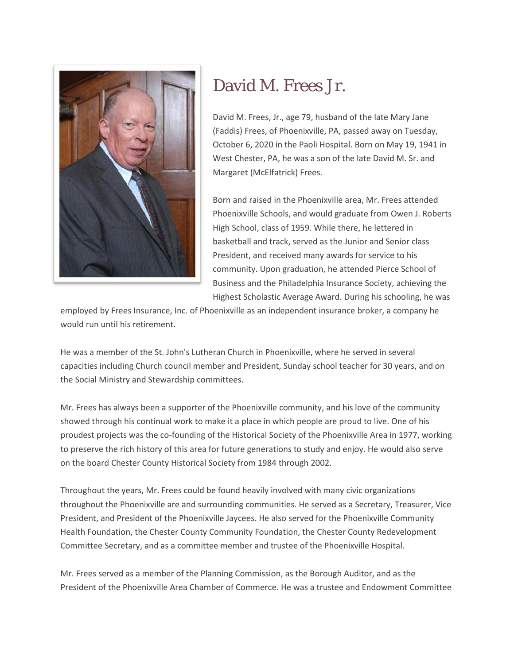

## David M. Frees Jr.

David M. Frees, Jr., age 79, husband of the late Mary Jane (Faddis) Frees, of Phoenixville, PA, passed away on Tuesday, October 6, 2020 in the Paoli Hospital. Born on May 19, 1941 in West Chester, PA, he was a son of the late David M. Sr. and Margaret (McElfatrick) Frees.

Born and raised in the Phoenixville area, Mr. Frees attended Phoenixville Schools, and would graduate from Owen J. Roberts High School, class of 1959. While there, he lettered in basketball and track, served as the Junior and Senior class President, and received many awards for service to his community. Upon graduation, he attended Pierce School of Business and the Philadelphia Insurance Society, achieving the Highest Scholastic Average Award. During his schooling, he was

employed by Frees Insurance, Inc. of Phoenixville as an independent insurance broker, a company he would run until his retirement.

He was a member of the St. John's Lutheran Church in Phoenixville, where he served in several capacities including Church council member and President, Sunday school teacher for 30 years, and on the Social Ministry and Stewardship committees.

Mr. Frees has always been a supporter of the Phoenixville community, and his love of the community showed through his continual work to make it a place in which people are proud to live. One of his proudest projects was the co-founding of the Historical Society of the Phoenixville Area in 1977, working to preserve the rich history of this area for future generations to study and enjoy. He would also serve on the board Chester County Historical Society from 1984 through 2002.

Throughout the years, Mr. Frees could be found heavily involved with many civic organizations throughout the Phoenixville are and surrounding communities. He served as a Secretary, Treasurer, Vice President, and President of the Phoenixville Jaycees. He also served for the Phoenixville Community Health Foundation, the Chester County Community Foundation, the Chester County Redevelopment Committee Secretary, and as a committee member and trustee of the Phoenixville Hospital.

Mr. Frees served as a member of the Planning Commission, as the Borough Auditor, and as the President of the Phoenixville Area Chamber of Commerce. He was a trustee and Endowment Committee